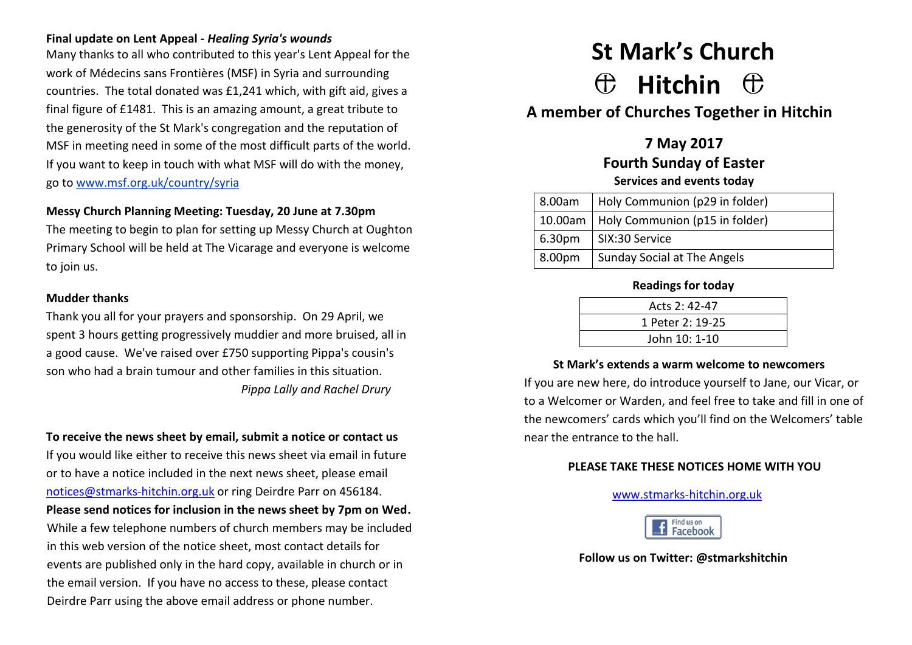#### **Final update on Lent Appeal -** *Healing Syria's wounds*

Many thanks to all who contributed to this year's Lent Appeal for the work of Médecins sans Frontières (MSF) in Syria and surrounding countries. The total donated was £1,241 which, with gift aid, gives a final figure of £1481. This is an amazing amount, a great tribute to the generosity of the St Mark's congregation and the reputation of MSF in meeting need in some of the most difficult parts of the world. If you want to keep in touch with what MSF will do with the money, go to [www.msf.org.uk/country/syria](http://www.msf.org.uk/country/syria)

#### **Messy Church Planning Meeting: Tuesday, 20 June at 7.30pm**

The meeting to begin to plan for setting up Messy Church at Oughton Primary School will be held at The Vicarage and everyone is welcome to join us.

#### **Mudder thanks**

Thank you all for your prayers and sponsorship. On 29 April, we spent 3 hours getting progressively muddier and more bruised, all in a good cause. We've raised over £750 supporting Pippa's cousin's son who had a brain tumour and other families in this situation. *Pippa Lally and Rachel Drury*

#### **To receive the news sheet by email, submit a notice or contact us**

If you would like either to receive this news sheet via email in future or to have a notice included in the next news sheet, please email [notices@stmarks-hitchin.org.uk](mailto:notices@stmarks-hitchin.org.uk) or ring Deirdre Parr on 456184. **Please send notices for inclusion in the news sheet by 7pm on Wed.**  While a few telephone numbers of church members may be included in this web version of the notice sheet, most contact details for events are published only in the hard copy, available in church or in the email version. If you have no access to these, please contact Deirdre Parr using the above email address or phone number.

# **St Mark's Church Hitchin**

# **A member of Churches Together in Hitchin**

**7 May 2017 Fourth Sunday of Easter Services and events today**

| 8.00am             | Holy Communion (p29 in folder)           |  |
|--------------------|------------------------------------------|--|
|                    | 10.00am   Holy Communion (p15 in folder) |  |
| 6.30pm             | SIX:30 Service                           |  |
| 8.00 <sub>pm</sub> | Sunday Social at The Angels              |  |

#### **Readings for today**

| Acts 2: 42-47    |  |
|------------------|--|
| 1 Peter 2: 19-25 |  |
| John 10: 1-10    |  |

#### **St Mark's extends a warm welcome to newcomers**

If you are new here, do introduce yourself to Jane, our Vicar, or to a Welcomer or Warden, and feel free to take and fill in one of the newcomers' cards which you'll find on the Welcomers' table near the entrance to the hall.

#### **PLEASE TAKE THESE NOTICES HOME WITH YOU**

#### [www.stmarks-hitchin.org.uk](http://www.stmarks-hitchin.org.uk/)



#### **Follow us on Twitter: @stmarkshitchin**